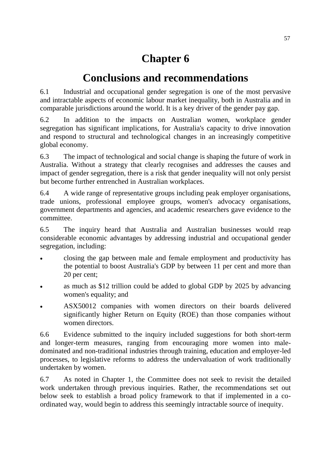# **Chapter 6**

# **Conclusions and recommendations**

6.1 Industrial and occupational gender segregation is one of the most pervasive and intractable aspects of economic labour market inequality, both in Australia and in comparable jurisdictions around the world. It is a key driver of the gender pay gap.

6.2 In addition to the impacts on Australian women, workplace gender segregation has significant implications, for Australia's capacity to drive innovation and respond to structural and technological changes in an increasingly competitive global economy.

6.3 The impact of technological and social change is shaping the future of work in Australia. Without a strategy that clearly recognises and addresses the causes and impact of gender segregation, there is a risk that gender inequality will not only persist but become further entrenched in Australian workplaces.

6.4 A wide range of representative groups including peak employer organisations, trade unions, professional employee groups, women's advocacy organisations, government departments and agencies, and academic researchers gave evidence to the committee.

6.5 The inquiry heard that Australia and Australian businesses would reap considerable economic advantages by addressing industrial and occupational gender segregation, including:

- closing the gap between male and female employment and productivity has the potential to boost Australia's GDP by between 11 per cent and more than 20 per cent;
- as much as \$12 trillion could be added to global GDP by 2025 by advancing women's equality; and
- ASX50012 companies with women directors on their boards delivered significantly higher Return on Equity (ROE) than those companies without women directors.

6.6 Evidence submitted to the inquiry included suggestions for both short-term and longer-term measures, ranging from encouraging more women into maledominated and non-traditional industries through training, education and employer-led processes, to legislative reforms to address the undervaluation of work traditionally undertaken by women.

6.7 As noted in Chapter 1, the Committee does not seek to revisit the detailed work undertaken through previous inquiries. Rather, the recommendations set out below seek to establish a broad policy framework to that if implemented in a coordinated way, would begin to address this seemingly intractable source of inequity.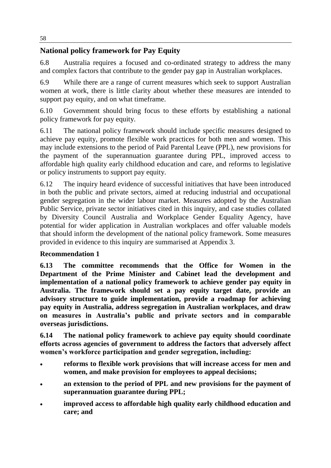## **National policy framework for Pay Equity**

6.8 Australia requires a focused and co-ordinated strategy to address the many and complex factors that contribute to the gender pay gap in Australian workplaces.

6.9 While there are a range of current measures which seek to support Australian women at work, there is little clarity about whether these measures are intended to support pay equity, and on what timeframe.

6.10 Government should bring focus to these efforts by establishing a national policy framework for pay equity.

6.11 The national policy framework should include specific measures designed to achieve pay equity, promote flexible work practices for both men and women. This may include extensions to the period of Paid Parental Leave (PPL), new provisions for the payment of the superannuation guarantee during PPL, improved access to affordable high quality early childhood education and care, and reforms to legislative or policy instruments to support pay equity.

6.12 The inquiry heard evidence of successful initiatives that have been introduced in both the public and private sectors, aimed at reducing industrial and occupational gender segregation in the wider labour market. Measures adopted by the Australian Public Service, private sector initiatives cited in this inquiry, and case studies collated by Diversity Council Australia and Workplace Gender Equality Agency, have potential for wider application in Australian workplaces and offer valuable models that should inform the development of the national policy framework. Some measures provided in evidence to this inquiry are summarised at Appendix 3.

## **Recommendation 1**

**6.13 The committee recommends that the Office for Women in the Department of the Prime Minister and Cabinet lead the development and implementation of a national policy framework to achieve gender pay equity in Australia. The framework should set a pay equity target date, provide an advisory structure to guide implementation, provide a roadmap for achieving pay equity in Australia, address segregation in Australian workplaces, and draw on measures in Australia's public and private sectors and in comparable overseas jurisdictions.** 

**6.14 The national policy framework to achieve pay equity should coordinate efforts across agencies of government to address the factors that adversely affect women's workforce participation and gender segregation, including:**

- **reforms to flexible work provisions that will increase access for men and women, and make provision for employees to appeal decisions;**
- **an extension to the period of PPL and new provisions for the payment of superannuation guarantee during PPL;**
- **improved access to affordable high quality early childhood education and care; and**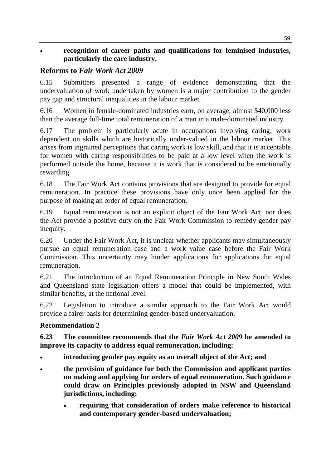#### **recognition of career paths and qualifications for feminised industries, particularly the care industry.**

## **Reforms to** *Fair Work Act 2009*

6.15 Submitters presented a range of evidence demonstrating that the undervaluation of work undertaken by women is a major contribution to the gender pay gap and structural inequalities in the labour market.

6.16 Women in female-dominated industries earn, on average, almost \$40,000 less than the average full-time total remuneration of a man in a male-dominated industry.

6.17 The problem is particularly acute in occupations involving caring; work dependent on skills which are historically under-valued in the labour market. This arises from ingrained perceptions that caring work is low skill, and that it is acceptable for women with caring responsibilities to be paid at a low level when the work is performed outside the home, because it is work that is considered to be emotionally rewarding.

6.18 The Fair Work Act contains provisions that are designed to provide for equal remuneration. In practice these provisions have only once been applied for the purpose of making an order of equal remuneration.

6.19 Equal remuneration is not an explicit object of the Fair Work Act, nor does the Act provide a positive duty on the Fair Work Commission to remedy gender pay inequity.

6.20 Under the Fair Work Act, it is unclear whether applicants may simultaneously pursue an equal remuneration case and a work value case before the Fair Work Commission. This uncertainty may hinder applications for applications for equal remuneration.

6.21 The introduction of an Equal Remuneration Principle in New South Wales and Queensland state legislation offers a model that could be implemented, with similar benefits, at the national level.

6.22 Legislation to introduce a similar approach to the Fair Work Act would provide a fairer basis for determining gender-based undervaluation.

## **Recommendation 2**

**6.23 The committee recommends that the** *Fair Work Act 2009* **be amended to improve its capacity to address equal remuneration, including:**

- **introducing gender pay equity as an overall object of the Act; and**
- **the provision of guidance for both the Commission and applicant parties on making and applying for orders of equal remuneration. Such guidance could draw on Principles previously adopted in NSW and Queensland jurisdictions, including:**
	- **requiring that consideration of orders make reference to historical and contemporary gender-based undervaluation;**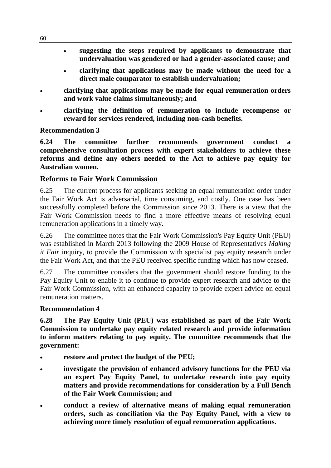- **suggesting the steps required by applicants to demonstrate that undervaluation was gendered or had a gender-associated cause; and**
- **clarifying that applications may be made without the need for a direct male comparator to establish undervaluation;**
- **clarifying that applications may be made for equal remuneration orders and work value claims simultaneously; and**
- **clarifying the definition of remuneration to include recompense or reward for services rendered, including non-cash benefits.**

#### **Recommendation 3**

**6.24 The committee further recommends government conduct a comprehensive consultation process with expert stakeholders to achieve these reforms and define any others needed to the Act to achieve pay equity for Australian women.**

#### **Reforms to Fair Work Commission**

6.25 The current process for applicants seeking an equal remuneration order under the Fair Work Act is adversarial, time consuming, and costly. One case has been successfully completed before the Commission since 2013. There is a view that the Fair Work Commission needs to find a more effective means of resolving equal remuneration applications in a timely way.

6.26 The committee notes that the Fair Work Commission's Pay Equity Unit (PEU) was established in March 2013 following the 2009 House of Representatives *Making it Fair* inquiry, to provide the Commission with specialist pay equity research under the Fair Work Act, and that the PEU received specific funding which has now ceased.

6.27 The committee considers that the government should restore funding to the Pay Equity Unit to enable it to continue to provide expert research and advice to the Fair Work Commission, with an enhanced capacity to provide expert advice on equal remuneration matters.

#### **Recommendation 4**

**6.28 The Pay Equity Unit (PEU) was established as part of the Fair Work Commission to undertake pay equity related research and provide information to inform matters relating to pay equity. The committee recommends that the government:**

- **restore and protect the budget of the PEU;**
- **investigate the provision of enhanced advisory functions for the PEU via an expert Pay Equity Panel, to undertake research into pay equity matters and provide recommendations for consideration by a Full Bench of the Fair Work Commission; and**
- **conduct a review of alternative means of making equal remuneration orders, such as conciliation via the Pay Equity Panel, with a view to achieving more timely resolution of equal remuneration applications.**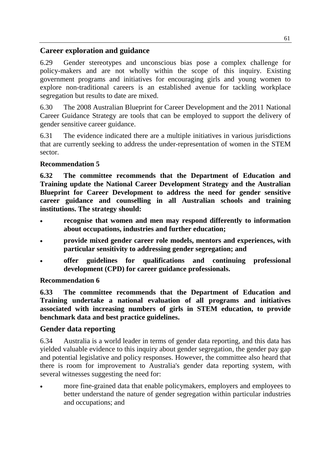## **Career exploration and guidance**

6.29 Gender stereotypes and unconscious bias pose a complex challenge for policy-makers and are not wholly within the scope of this inquiry. Existing government programs and initiatives for encouraging girls and young women to explore non-traditional careers is an established avenue for tackling workplace segregation but results to date are mixed.

6.30 The 2008 Australian Blueprint for Career Development and the 2011 National Career Guidance Strategy are tools that can be employed to support the delivery of gender sensitive career guidance.

6.31 The evidence indicated there are a multiple initiatives in various jurisdictions that are currently seeking to address the under-representation of women in the STEM sector.

## **Recommendation 5**

**6.32 The committee recommends that the Department of Education and Training update the National Career Development Strategy and the Australian Blueprint for Career Development to address the need for gender sensitive career guidance and counselling in all Australian schools and training institutions. The strategy should:**

- **recognise that women and men may respond differently to information about occupations, industries and further education;**
- **provide mixed gender career role models, mentors and experiences, with particular sensitivity to addressing gender segregation; and**
- **offer guidelines for qualifications and continuing professional development (CPD) for career guidance professionals.**

#### **Recommendation 6**

**6.33 The committee recommends that the Department of Education and Training undertake a national evaluation of all programs and initiatives associated with increasing numbers of girls in STEM education, to provide benchmark data and best practice guidelines.**

## **Gender data reporting**

6.34 Australia is a world leader in terms of gender data reporting, and this data has yielded valuable evidence to this inquiry about gender segregation, the gender pay gap and potential legislative and policy responses. However, the committee also heard that there is room for improvement to Australia's gender data reporting system, with several witnesses suggesting the need for:

 more fine-grained data that enable policymakers, employers and employees to better understand the nature of gender segregation within particular industries and occupations; and